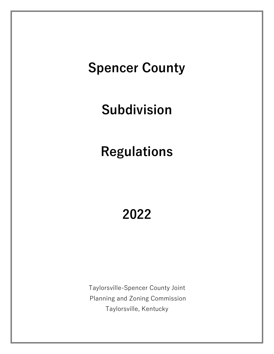# **Spencer County**

# **Subdivision**

# **Regulations**

# **2022**

Taylorsville-Spencer County Joint Planning and Zoning Commission Taylorsville, Kentucky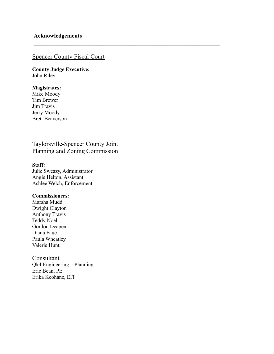# Spencer County Fiscal Court

**\_\_\_\_\_\_\_\_\_\_\_\_\_\_\_\_\_\_\_\_\_\_\_\_\_\_\_\_\_\_\_\_\_\_\_\_\_\_\_\_\_\_\_\_\_\_\_\_\_\_\_\_\_\_\_\_\_\_\_\_\_\_\_\_**

**County Judge Executive:** John Riley

### **Magistrates:**

Mike Moody Tim Brewer Jim Travis Jerry Moody Brett Beaverson

Taylorsville-Spencer County Joint Planning and Zoning Commission

#### **Staff:**

Julie Sweazy, Administrator Angie Helton, Assistant Ashlee Welch, Enforcement

#### **Commissioners:**

Marsha Mudd Dwight Clayton Anthony Travis Teddy Noel Gordon Deapen Diana Faue Paula Wheatley Valerie Hunt

Consultant Qk4 Engineering – Planning Eric Bean, PE Erika Keohane, EIT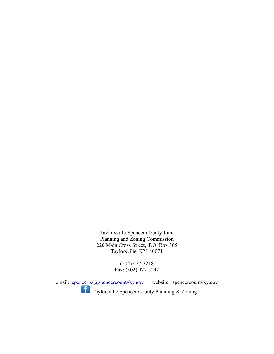Taylorsville-Spencer County Joint Planning and Zoning Commission 220 Main Cross Street, P.O. Box 305 Taylorsville, KY 40071

> (502) 477-3218 Fax: (502) 477-3242

email: [spencerpz@spencercountyky.gov](mailto:spencerpz@spencercountyky.gov) website: spencercountyky.gov Taylorsville Spencer County Planning & Zoning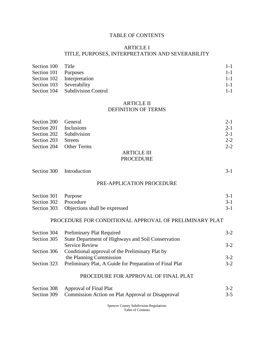#### TABLE OF CONTENTS

#### ARTICLE I

#### TITLE, PURPOSES, INTERPRETATION AND SEVERABILITY

| Section 100 Title        |                                 | $1 - 1$ |
|--------------------------|---------------------------------|---------|
| Section 101 Purposes     |                                 | $1 - 1$ |
|                          | Section 102 Interpretation      | $1 - 1$ |
| Section 103 Severability |                                 | $1 - 1$ |
|                          | Section 104 Subdivision Control | $1 - 1$ |

#### ARTICLE II DEFINITION OF TERMS

| Section 200 General    |                         | $2 - 1$ |
|------------------------|-------------------------|---------|
| Section 201 Inclusions |                         | $2 - 1$ |
|                        | Section 202 Subdivision | $2 - 1$ |
| Section 203 Streets    |                         | $2 - 2$ |
|                        | Section 204 Other Terms | $2 - 2$ |
|                        | ARTICLE III             |         |

# PROCEDURE

| Section 300 Introduction |  |  | $3-1$ |
|--------------------------|--|--|-------|
|                          |  |  |       |

#### PRE-APPLICATION PROCEDURE

| Section 301 Purpose   |                                           | $3-1$ |
|-----------------------|-------------------------------------------|-------|
| Section 302 Procedure |                                           | $3-1$ |
|                       | Section 303 Objections shall be expressed | $3-1$ |

#### PROCEDURE FOR CONDITIONAL APPROVAL OF PRELIMINARY PLAT

|             | Section 304 Preliminary Plat Required                   | $3-2$   |
|-------------|---------------------------------------------------------|---------|
| Section 305 | State Department of Highways and Soil Conservation      |         |
|             | <b>Service Review</b>                                   | $3-2$   |
| Section 306 | Conditional approval of the Preliminary Plat by         |         |
|             | the Planning Commission                                 | $3-2$   |
| Section 323 | Preliminary Plat, A Guide for Preparation of Final Plat | $3 - 2$ |
|             |                                                         |         |

### PROCEDURE FOR APPROVAL OF FINAL PLAT

| Section 308 Approval of Final Plat                            | $3-2$   |
|---------------------------------------------------------------|---------|
| Section 309 Commission Action on Plat Approval or Disapproval | $3 - 5$ |

Spencer County Subdivision Regulations Table of Contents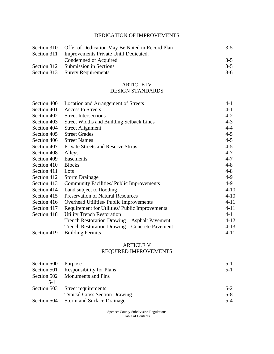# DEDICATION OF IMPROVEMENTS

| Section 310 Offer of Dedication May Be Noted in Record Plan | $3 - 5$ |
|-------------------------------------------------------------|---------|
| Section 311 Improvements Private Until Dedicated,           |         |
| Condemned or Acquired                                       | $3 - 5$ |
| Section 312 Submission in Sections                          | $3 - 5$ |
| Section 313 Surety Requirements                             | $3-6$   |

#### ARTICLE IV DESIGN STANDARDS

| Section 400 | Location and Arrangement of Streets              | $4 - 1$  |
|-------------|--------------------------------------------------|----------|
| Section 401 | <b>Access to Streets</b>                         | $4 - 1$  |
| Section 402 | <b>Street Intersections</b>                      | $4 - 2$  |
| Section 403 | <b>Street Widths and Building Setback Lines</b>  | $4 - 3$  |
| Section 404 | <b>Street Alignment</b>                          | $4 - 4$  |
| Section 405 | <b>Street Grades</b>                             | $4 - 5$  |
| Section 406 | <b>Street Names</b>                              | $4 - 5$  |
| Section 407 | Private Streets and Reserve Strips               | $4 - 5$  |
| Section 408 | Alleys                                           | $4 - 7$  |
| Section 409 | Easements                                        | $4 - 7$  |
| Section 410 | <b>Blocks</b>                                    | $4 - 8$  |
| Section 411 | Lots                                             | $4 - 8$  |
| Section 412 | <b>Storm Drainage</b>                            | $4-9$    |
| Section 413 | <b>Community Facilities/ Public Improvements</b> | $4-9$    |
| Section 414 | Land subject to flooding                         | $4 - 10$ |
| Section 415 | <b>Preservation of Natural Resources</b>         | $4 - 10$ |
| Section 416 | Overhead Utilities/ Public Improvements          | $4 - 11$ |
| Section 417 | Requirement for Utilities/ Public Improvements   | $4 - 11$ |
| Section 418 | <b>Utility Trench Restoration</b>                | $4 - 11$ |
|             | Trench Restoration Drawing - Asphalt Pavement    | $4 - 12$ |
|             | Trench Restoration Drawing – Concrete Pavement   | $4 - 13$ |
| Section 419 | <b>Building Permits</b>                          | $4 - 11$ |

### ARTICLE V REQUIRED IMPROVEMENTS

| Section 500 | Purpose                                | $5-1$   |
|-------------|----------------------------------------|---------|
|             | Section 501 Responsibility for Plans   | $5-1$   |
|             | Section 502 Monuments and Pins         |         |
| $5-1$       |                                        |         |
|             | Section 503 Street requirements        | $5-2$   |
|             | <b>Typical Cross Section Drawing</b>   | $5 - 8$ |
|             | Section 504 Storm and Surface Drainage | $5 - 4$ |

Spencer County Subdivision Regulations Table of Contents